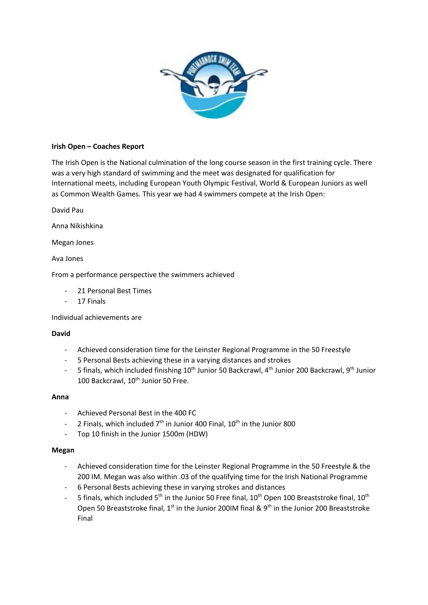

# **Irish Open – Coaches Report**

The Irish Open is the National culmination of the long course season in the first training cycle. There was a very high standard of swimming and the meet was designated for qualification for International meets, including European Youth Olympic Festival, World & European Juniors as well as Common Wealth Games. This year we had 4 swimmers compete at the Irish Open:

David Pau

Anna Nikishkina

Megan Jones

Ava Jones

From a performance perspective the swimmers achieved

- 21 Personal Best Times
- 17 Finals

Individual achievements are

## **David**

- Achieved consideration time for the Leinster Regional Programme in the 50 Freestyle
- 5 Personal Bests achieving these in a varying distances and strokes
- 5 finals, which included finishing 10<sup>th</sup> Junior 50 Backcrawl, 4<sup>th</sup> Junior 200 Backcrawl, 9<sup>th</sup> Junior 100 Backcrawl, 10<sup>th</sup> Junior 50 Free.

#### **Anna**

- Achieved Personal Best in the 400 FC
- 2 Finals, which included  $7<sup>th</sup>$  in Junior 400 Final,  $10<sup>th</sup>$  in the Junior 800
- Top 10 finish in the Junior 1500m (HDW)

#### **Megan**

- Achieved consideration time for the Leinster Regional Programme in the 50 Freestyle & the 200 IM. Megan was also within .03 of the qualifying time for the Irish National Programme
- 6 Personal Bests achieving these in varying strokes and distances
- 5 finals, which included 5<sup>th</sup> in the Junior 50 Free final, 10<sup>th</sup> Open 100 Breaststroke final, 10<sup>th</sup> Open 50 Breaststroke final,  $1^{st}$  in the Junior 200IM final &  $9^{th}$  in the Junior 200 Breaststroke Final